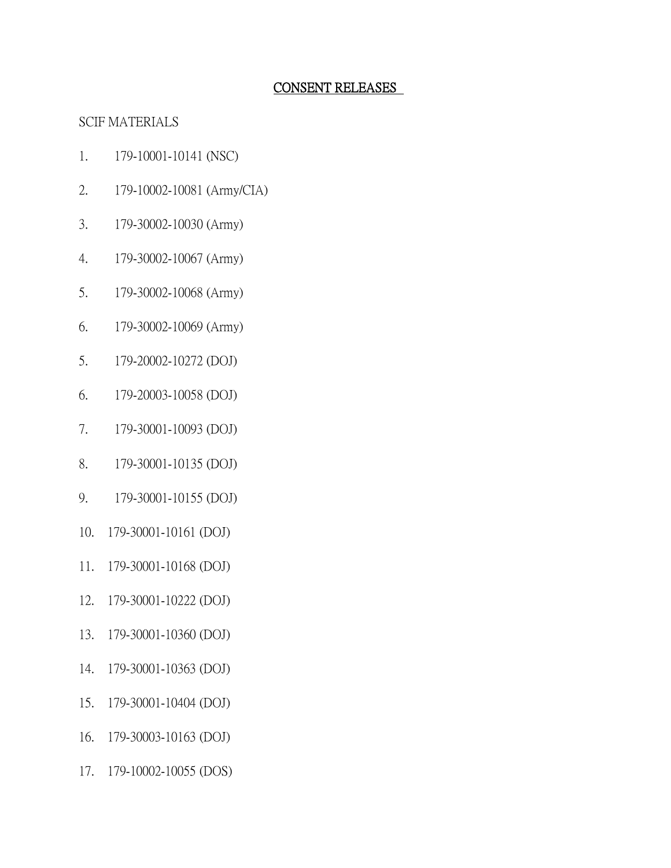### CONSENT RELEASES

## SCIF MATERIALS

- 1. 179-10001-10141 (NSC)
- 2. 179-10002-10081 (Army/CIA)
- 3. 179-30002-10030 (Army)
- 4. 179-30002-10067 (Army)
- 5. 179-30002-10068 (Army)
- 6. 179-30002-10069 (Army)
- 5. 179-20002-10272 (DOJ)
- 6. 179-20003-10058 (DOJ)
- 7. 179-30001-10093 (DOJ)
- 8. 179-30001-10135 (DOJ)
- 9. 179-30001-10155 (DOJ)
- 10. 179-30001-10161 (DOJ)
- 11. 179-30001-10168 (DOJ)
- 12. 179-30001-10222 (DOJ)
- 13. 179-30001-10360 (DOJ)
- 14. 179-30001-10363 (DOJ)
- 15. 179-30001-10404 (DOJ)
- 16. 179-30003-10163 (DOJ)
- 17. 179-10002-10055 (DOS)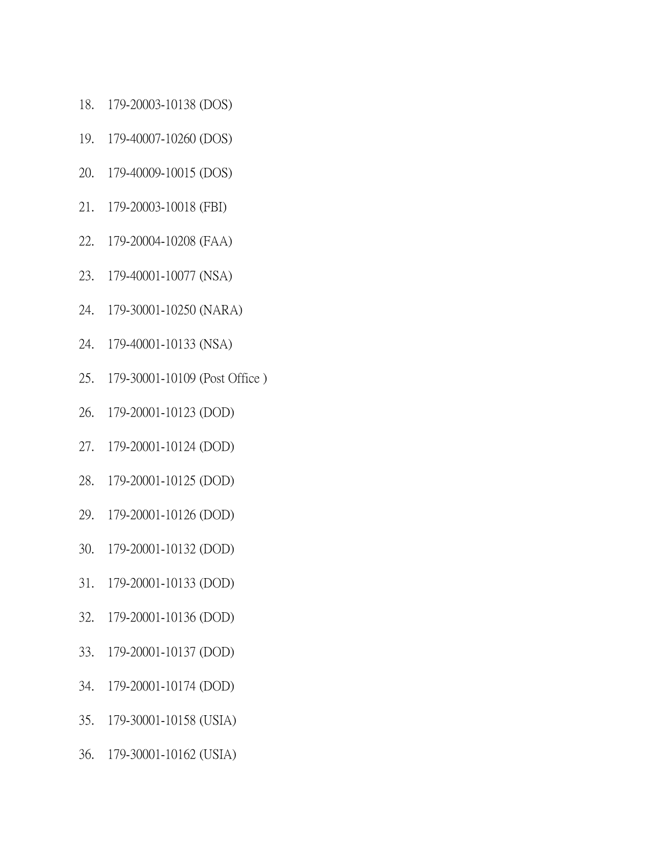- 18. 179-20003-10138 (DOS)
- 19. 179-40007-10260 (DOS)
- 20. 179-40009-10015 (DOS)
- 21. 179-20003-10018 (FBI)
- 22. 179-20004-10208 (FAA)
- 23. 179-40001-10077 (NSA)
- 24. 179-30001-10250 (NARA)
- 24. 179-40001-10133 (NSA)
- 25. 179-30001-10109 (Post Office )
- 26. 179-20001-10123 (DOD)
- 27. 179-20001-10124 (DOD)
- 28. 179-20001-10125 (DOD)
- 29. 179-20001-10126 (DOD)
- 30. 179-20001-10132 (DOD)
- 31. 179-20001-10133 (DOD)
- 32. 179-20001-10136 (DOD)
- 33. 179-20001-10137 (DOD)
- 34. 179-20001-10174 (DOD)
- 35. 179-30001-10158 (USIA)
- 36. 179-30001-10162 (USIA)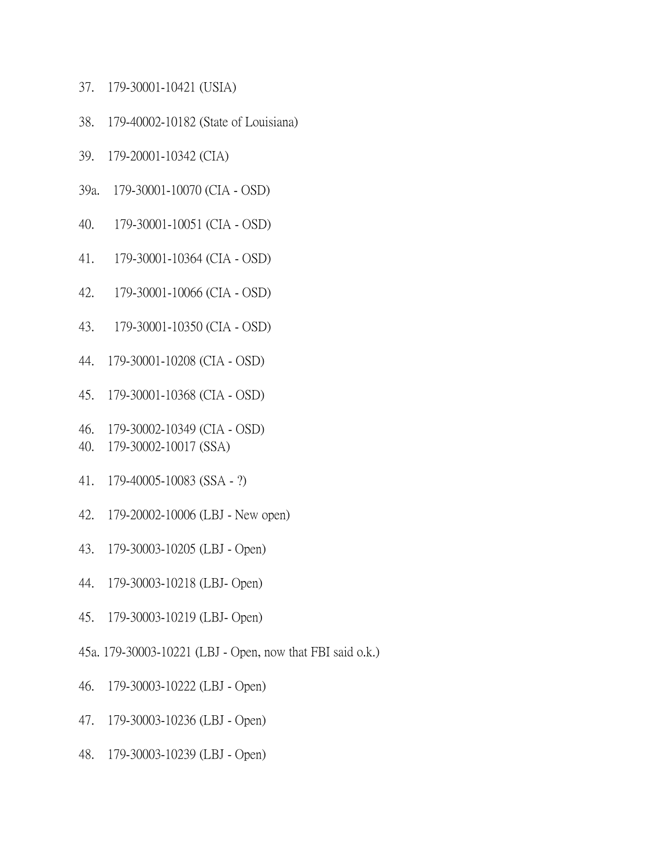- 37. 179-30001-10421 (USIA)
- 38. 179-40002-10182 (State of Louisiana)
- 39. 179-20001-10342 (CIA)
- 39a. 179-30001-10070 (CIA OSD)
- 40. 179-30001-10051 (CIA OSD)
- 41. 179-30001-10364 (CIA OSD)
- 42. 179-30001-10066 (CIA OSD)
- 43. 179-30001-10350 (CIA OSD)
- 44. 179-30001-10208 (CIA OSD)
- 45. 179-30001-10368 (CIA OSD)
- 46. 179-30002-10349 (CIA OSD)
- 40. 179-30002-10017 (SSA)
- 41. 179-40005-10083 (SSA ?)
- 42. 179-20002-10006 (LBJ New open)
- 43. 179-30003-10205 (LBJ Open)
- 44. 179-30003-10218 (LBJ- Open)
- 45. 179-30003-10219 (LBJ- Open)
- 45a. 179-30003-10221 (LBJ Open, now that FBI said o.k.)
- 46. 179-30003-10222 (LBJ Open)
- 47. 179-30003-10236 (LBJ Open)
- 48. 179-30003-10239 (LBJ Open)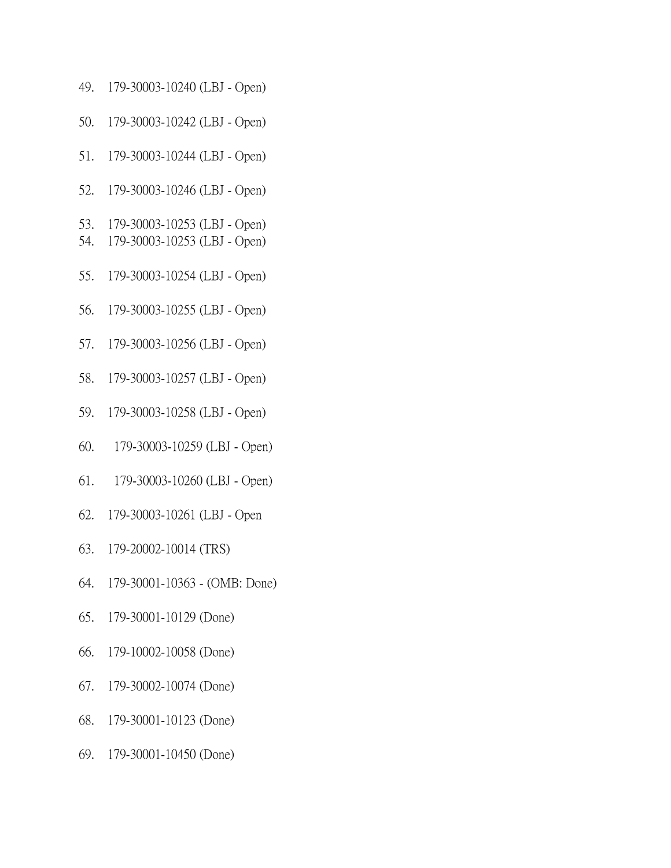- 49. 179-30003-10240 (LBJ Open)
- 50. 179-30003-10242 (LBJ Open)
- 51. 179-30003-10244 (LBJ Open)
- 52. 179-30003-10246 (LBJ Open)
- 53. 179-30003-10253 (LBJ Open)
- 54. 179-30003-10253 (LBJ Open)
- 55. 179-30003-10254 (LBJ Open)
- 56. 179-30003-10255 (LBJ Open)
- 57. 179-30003-10256 (LBJ Open)
- 58. 179-30003-10257 (LBJ Open)
- 59. 179-30003-10258 (LBJ Open)
- 60. 179-30003-10259 (LBJ Open)
- 61. 179-30003-10260 (LBJ Open)
- 62. 179-30003-10261 (LBJ Open
- 63. 179-20002-10014 (TRS)
- 64. 179-30001-10363 (OMB: Done)
- 65. 179-30001-10129 (Done)
- 66. 179-10002-10058 (Done)
- 67. 179-30002-10074 (Done)
- 68. 179-30001-10123 (Done)
- 69. 179-30001-10450 (Done)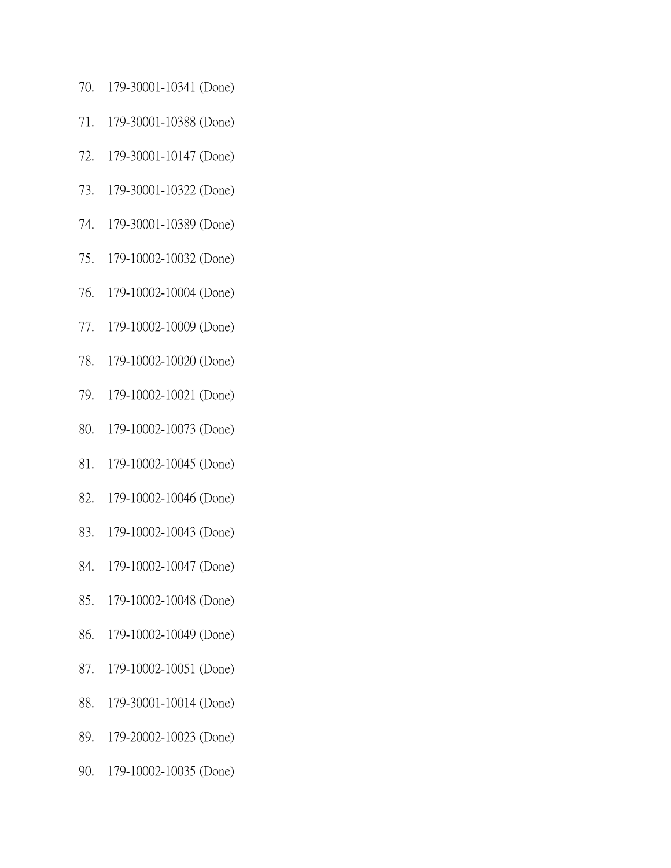- 70. 179-30001-10341 (Done)
- 71. 179-30001-10388 (Done)
- 72. 179-30001-10147 (Done)
- 73. 179-30001-10322 (Done)
- 74. 179-30001-10389 (Done)
- 75. 179-10002-10032 (Done)
- 76. 179-10002-10004 (Done)
- 77. 179-10002-10009 (Done)
- 78. 179-10002-10020 (Done)
- 79. 179-10002-10021 (Done)
- 80. 179-10002-10073 (Done)
- 81. 179-10002-10045 (Done)
- 82. 179-10002-10046 (Done)
- 83. 179-10002-10043 (Done)
- 84. 179-10002-10047 (Done)
- 85. 179-10002-10048 (Done)
- 86. 179-10002-10049 (Done)
- 87. 179-10002-10051 (Done)
- 88. 179-30001-10014 (Done)
- 89. 179-20002-10023 (Done)
- 90. 179-10002-10035 (Done)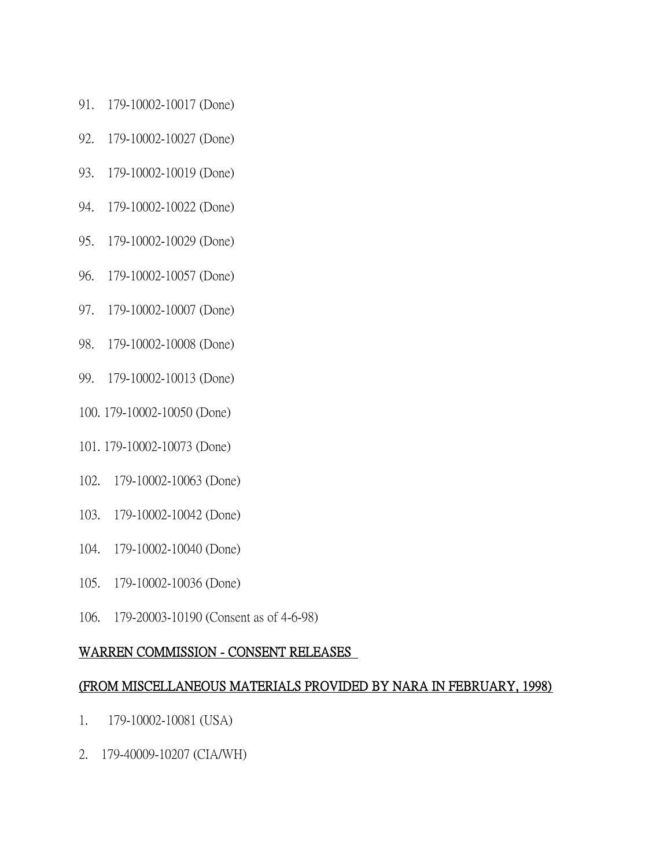- 91. 179-10002-10017 (Done)
- 92. 179-10002-10027 (Done)
- 93. 179-10002-10019 (Done)
- 94. 179-10002-10022 (Done)
- 95. 179-10002-10029 (Done)
- 96. 179-10002-10057 (Done)
- 97. 179-10002-10007 (Done)
- 98. 179-10002-10008 (Done)
- 99. 179-10002-10013 (Done)
- 100. 179-10002-10050 (Done)
- 101. 179-10002-10073 (Done)
- 102. 179-10002-10063 (Done)
- 103. 179-10002-10042 (Done)
- 104. 179-10002-10040 (Done)
- 105. 179-10002-10036 (Done)
- 106. 179-20003-10190 (Consent as of 4-6-98)

#### WARREN COMMISSION - CONSENT RELEASES

#### (FROM MISCELLANEOUS MATERIALS PROVIDED BY NARA IN FEBRUARY, 1998)

- 1. 179-10002-10081 (USA)
- 2. 179-40009-10207 (CIA/WH)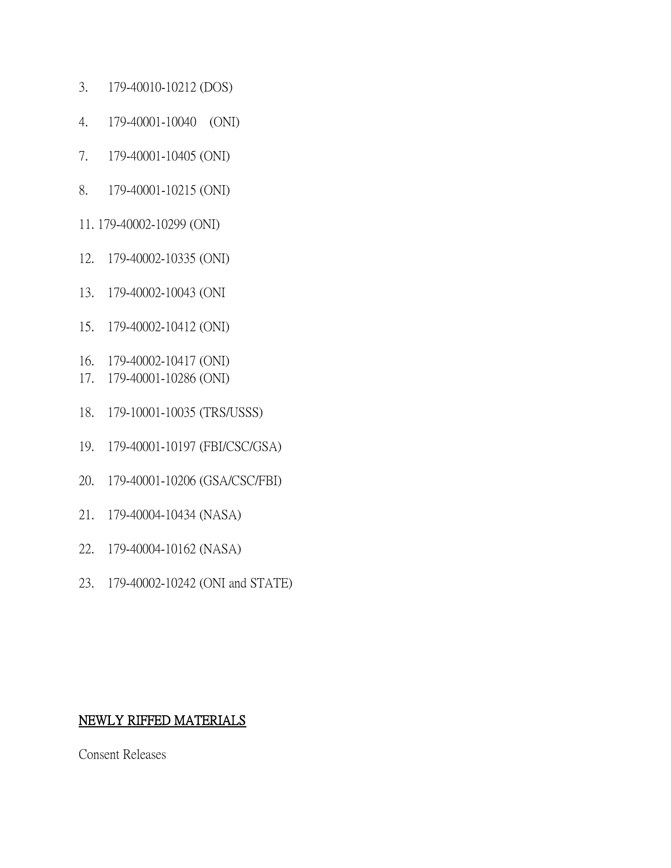- 3. 179-40010-10212 (DOS)
- 4. 179-40001-10040 (ONI)
- 7. 179-40001-10405 (ONI)
- 8. 179-40001-10215 (ONI)
- 11. 179-40002-10299 (ONI)
- 12. 179-40002-10335 (ONI)
- 13. 179-40002-10043 (ONI
- 15. 179-40002-10412 (ONI)
- 16. 179-40002-10417 (ONI)
- 17. 179-40001-10286 (ONI)
- 18. 179-10001-10035 (TRS/USSS)
- 19. 179-40001-10197 (FBI/CSC/GSA)
- 20. 179-40001-10206 (GSA/CSC/FBI)
- 21. 179-40004-10434 (NASA)
- 22. 179-40004-10162 (NASA)
- 23. 179-40002-10242 (ONI and STATE)

# NEWLY RIFFED MATERIALS

Consent Releases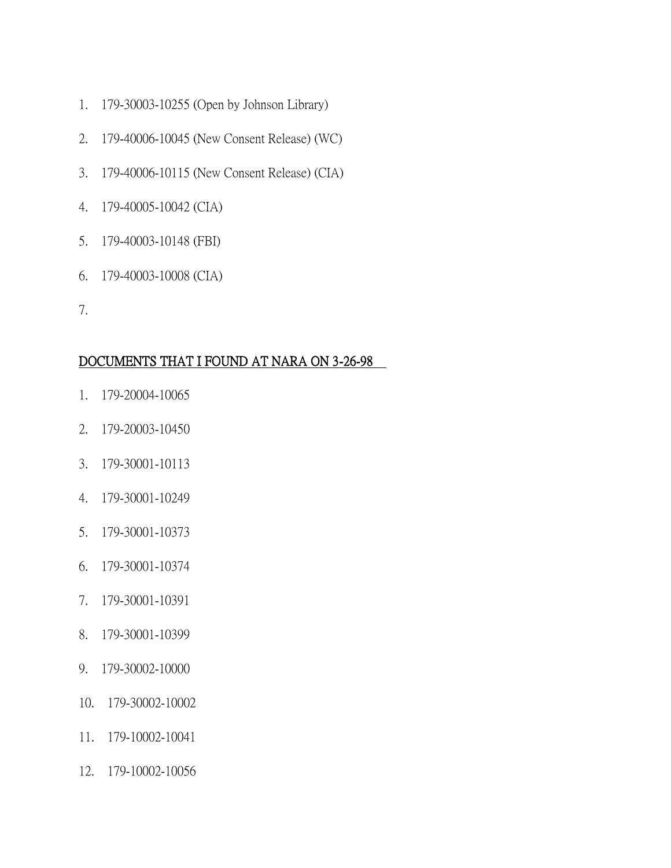- 1. 179-30003-10255 (Open by Johnson Library)
- 2. 179-40006-10045 (New Consent Release) (WC)
- 3. 179-40006-10115 (New Consent Release) (CIA)
- 4. 179-40005-10042 (CIA)
- 5. 179-40003-10148 (FBI)
- 6. 179-40003-10008 (CIA)
- 7.

## DOCUMENTS THAT I FOUND AT NARA ON 3-26-98

- 1. 179-20004-10065
- 2. 179-20003-10450
- 3. 179-30001-10113
- 4. 179-30001-10249
- 5. 179-30001-10373
- 6. 179-30001-10374
- 7. 179-30001-10391
- 8. 179-30001-10399
- 9. 179-30002-10000
- 10. 179-30002-10002
- 11. 179-10002-10041
- 12. 179-10002-10056